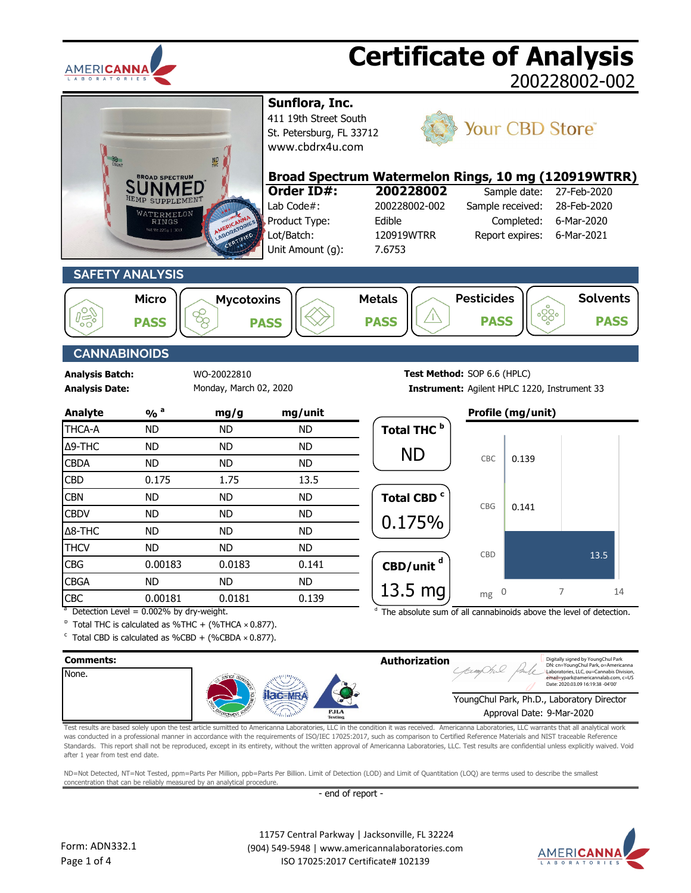

| <b>OILNT</b>                                    | <b>BROAD SPECTRUM</b><br>SUPPLEMEN <sup>®</sup><br>WATERMELON<br><b>RINGS</b><br>et Wr 225n   30d                                 |                                        | Sunflora, Inc.<br>411 19th Street South<br>St. Petersburg, FL 33712<br>www.cbdrx4u.com<br>Order ID#:<br>Lab Code#:<br>Product Type:<br>Lot/Batch:<br>Unit Amount (g): | Broad Spectrum Watermelon Rings, 10 mg (120919WTRR)<br>200228002<br>200228002-002<br>Edible<br>120919WTRR<br>7.6753 | Sample received:                 | Sample date:<br>Completed:<br>Report expires: | Your CBD Store®<br>27-Feb-2020<br>28-Feb-2020<br>6-Mar-2020<br>6-Mar-2021 |
|-------------------------------------------------|-----------------------------------------------------------------------------------------------------------------------------------|----------------------------------------|-----------------------------------------------------------------------------------------------------------------------------------------------------------------------|---------------------------------------------------------------------------------------------------------------------|----------------------------------|-----------------------------------------------|---------------------------------------------------------------------------|
|                                                 | <b>SAFETY ANALYSIS</b>                                                                                                            |                                        |                                                                                                                                                                       |                                                                                                                     |                                  |                                               |                                                                           |
| <b>PASS</b>                                     | <b>Micro</b><br><b>PASS</b>                                                                                                       | <b>Mycotoxins</b><br>88<br><b>PASS</b> |                                                                                                                                                                       | <b>Metals</b><br><b>PASS</b>                                                                                        | <b>Pesticides</b><br><b>PASS</b> |                                               | <b>Solvents</b><br>.<br>တွီ <b>း</b><br><b>PASS</b>                       |
| <b>CANNABINOIDS</b>                             |                                                                                                                                   |                                        |                                                                                                                                                                       |                                                                                                                     |                                  |                                               |                                                                           |
| <b>Analysis Batch:</b><br><b>Analysis Date:</b> |                                                                                                                                   | WO-20022810<br>Monday, March 02, 2020  |                                                                                                                                                                       | Test Method: SOP 6.6 (HPLC)                                                                                         |                                  |                                               | Instrument: Agilent HPLC 1220, Instrument 33                              |
| <b>Analyte</b>                                  | $\frac{9}{0}$ <sup>a</sup>                                                                                                        | mg/g                                   | mg/unit                                                                                                                                                               |                                                                                                                     |                                  | Profile (mg/unit)                             |                                                                           |
| THCA-A                                          | <b>ND</b>                                                                                                                         | <b>ND</b>                              | <b>ND</b>                                                                                                                                                             | Total THC <sup>b</sup>                                                                                              |                                  |                                               |                                                                           |
| Δ9-THC                                          | <b>ND</b>                                                                                                                         | <b>ND</b>                              | <b>ND</b>                                                                                                                                                             | <b>ND</b>                                                                                                           |                                  |                                               |                                                                           |
| <b>CBDA</b>                                     | <b>ND</b>                                                                                                                         | <b>ND</b>                              | <b>ND</b>                                                                                                                                                             |                                                                                                                     | CBC                              | 0.139                                         |                                                                           |
| <b>CBD</b>                                      | 0.175                                                                                                                             | 1.75                                   | 13.5                                                                                                                                                                  |                                                                                                                     |                                  |                                               |                                                                           |
| <b>CBN</b>                                      | <b>ND</b>                                                                                                                         | <b>ND</b>                              | <b>ND</b>                                                                                                                                                             | Total CBD <sup>c</sup>                                                                                              | CBG                              | 0.141                                         |                                                                           |
| <b>CBDV</b>                                     | <b>ND</b>                                                                                                                         | <b>ND</b>                              | <b>ND</b>                                                                                                                                                             | 0.175%                                                                                                              |                                  |                                               |                                                                           |
| $\Delta$ 8-THC                                  | <b>ND</b>                                                                                                                         | <b>ND</b>                              | <b>ND</b>                                                                                                                                                             |                                                                                                                     |                                  |                                               |                                                                           |
| <b>THCV</b>                                     | <b>ND</b>                                                                                                                         | <b>ND</b>                              | <b>ND</b>                                                                                                                                                             |                                                                                                                     | CBD                              |                                               | 13.5                                                                      |
| <b>CBG</b>                                      | 0.00183                                                                                                                           | 0.0183                                 | 0.141                                                                                                                                                                 | $\text{CBD/unit}^d$                                                                                                 |                                  |                                               |                                                                           |
| <b>CBGA</b>                                     | <b>ND</b>                                                                                                                         | <b>ND</b>                              | <b>ND</b>                                                                                                                                                             | $13.5$ mg                                                                                                           | 0<br>mg                          |                                               | 7<br>14                                                                   |
| CBC                                             | 0.00181<br>Detection Level = 0.002% by dry-weight.                                                                                | 0.0181                                 | 0.139                                                                                                                                                                 |                                                                                                                     |                                  |                                               | The absolute sum of all cannabinoids above the level of detection.        |
|                                                 | $b$ Total THC is calculated as %THC + (%THCA $\times$ 0.877).<br>$\textdegree$ Total CBD is calculated as %CBD + (%CBDA × 0.877). |                                        |                                                                                                                                                                       |                                                                                                                     |                                  |                                               |                                                                           |
| Comments:                                       |                                                                                                                                   |                                        |                                                                                                                                                                       | Authorization                                                                                                       |                                  |                                               | Digitally signed by YoungChul Park                                        |

| Comments: |                               | Authorization | Digitally signed by YoungChul Park<br>DN: cn=YoungChul Park, o=Americanna                                            |
|-----------|-------------------------------|---------------|----------------------------------------------------------------------------------------------------------------------|
| None.     | S.                            |               | Laboratories, LLC, ou=Cannabis Division,<br>email=ypark@americannalab.com, c=US<br>Date: 2020.03.09 16:19:38 -04'00' |
|           | <b>I</b>                      |               | YoungChul Park, Ph.D., Laboratory Director                                                                           |
|           | <b>PJLA</b><br><b>Testing</b> |               | Approval Date: 9-Mar-2020                                                                                            |

Test results are based solely upon the test article sumitted to Americanna Laboratories, LLC in the condition it was received. Americanna Laboratories, LLC warrants that all analytical work was conducted in a professional manner in accordance with the requirements of ISO/IEC 17025:2017, such as comparison to Certified Reference Materials and NIST traceable Reference Standards. This report shall not be reproduced, except in its entirety, without the written approval of Americanna Laboratories, LLC. Test results are confidential unless explicitly waived. Void after 1 year from test end date.

ND=Not Detected, NT=Not Tested, ppm=Parts Per Million, ppb=Parts Per Billion. Limit of Detection (LOD) and Limit of Quantitation (LOQ) are terms used to describe the smallest concentration that can be reliably measured by an analytical procedure.

- end of report -

 11757 Central Parkway | Jacksonville, FL 32224 (904) 549-5948 | www.americannalaboratories.com ISO 17025:2017 Certificate# 102139

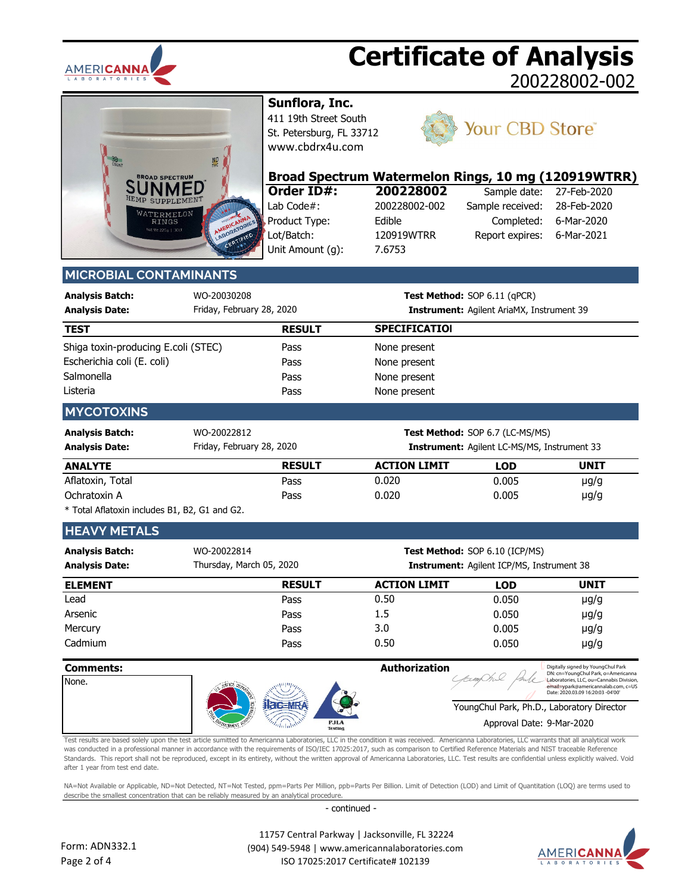



**Sunflora, Inc.**

411 19th Street South St. Petersburg, FL 33712 [www.cbdrx4u.com](http://www.cbdrx4u.com/)



## Your CBD Store®

| Broad Spectrum Watermelon Rings, 10 mg (120919WTRR) |               |                              |                          |
|-----------------------------------------------------|---------------|------------------------------|--------------------------|
| Order ID#:                                          | 200228002     |                              | Sample date: 27-Feb-2020 |
| Lab Code#:                                          | 200228002-002 | Sample received: 28-Feb-2020 |                          |

Product Type: Edible Lot/Batch: 120919WTRR Unit Amount (g): 7.6753

Completed: 6-Mar-2020 Report expires: 6-Mar-2021 Sample received: 28-Feb-2020

### **MICROBIAL CONTAMINANTS**

| Analysis Batch: | WO-20030208               |
|-----------------|---------------------------|
| Analysis Date:  | Friday, February 28, 2020 |

**Test Method:** SOP 6.11 (qPCR) **Analysis Date: Instrument:** Agilent AriaMX, Instrument 39

| <b>TEST</b>                         | <b>RESULT</b> | <b>SPECIFICATIOI</b> |  |
|-------------------------------------|---------------|----------------------|--|
| Shiga toxin-producing E.coli (STEC) | Pass          | None present         |  |
| Escherichia coli (E. coli)          | Pass          | None present         |  |
| Salmonella                          | Pass          | None present         |  |
| Listeria                            | Pass          | None present         |  |

### **MYCOTOXINS**

| <b>Analysis Batch:</b><br><b>Analysis Date:</b> | WO-20022812<br>Friday, February 28, 2020 |                     | <b>Test Method: SOP 6.7 (LC-MS/MS)</b><br><b>Instrument:</b> Agilent LC-MS/MS, Instrument 33 |             |  |
|-------------------------------------------------|------------------------------------------|---------------------|----------------------------------------------------------------------------------------------|-------------|--|
| <b>ANALYTE</b>                                  | <b>RESULT</b>                            | <b>ACTION LIMIT</b> | <b>LOD</b>                                                                                   | <b>UNIT</b> |  |
| Aflatoxin, Total                                | Pass                                     | 0.020               | 0.005                                                                                        | $\mu$ g/g   |  |
| Ochratoxin A                                    | Pass                                     | 0.020               | 0.005                                                                                        | $\mu$ g/g   |  |

\* Total Aflatoxin includes B1, B2, G1 and G2.

### **HEAVY METALS**

| <b>Analysis Batch:</b><br><b>Analysis Date:</b> | WO-20022814<br>Thursday, March 05, 2020 | <b>Test Method: SOP 6.10 (ICP/MS)</b><br><b>Instrument:</b> Agilent ICP/MS, Instrument 38 |            |           |  |  |
|-------------------------------------------------|-----------------------------------------|-------------------------------------------------------------------------------------------|------------|-----------|--|--|
| <b>ELEMENT</b>                                  | <b>RESULT</b>                           | <b>ACTION LIMIT</b>                                                                       | <b>LOD</b> | UNIT      |  |  |
| Lead                                            | Pass                                    | 0.50                                                                                      | 0.050      | $\mu$ g/g |  |  |
| Arsenic                                         | Pass                                    | 1.5                                                                                       | 0.050      | $\mu$ g/g |  |  |
| Mercury                                         | Pass                                    | 3.0                                                                                       | 0.005      | $\mu$ g/g |  |  |
| Cadmium                                         | Pass                                    | 0.50                                                                                      | 0.050      | $\mu$ g/g |  |  |

| <b>Comments:</b><br>None. |                               | <b>Authorization</b><br>Digitally signed by YoungChul Park<br>DN: cn=YoungChul Park, o=Americanna<br>Laboratories, LLC, ou=Cannabis Division,<br>email=ypark@americannalab.com, c=US<br>Date: 2020.03.09 16:20:03 -04'00' |
|---------------------------|-------------------------------|---------------------------------------------------------------------------------------------------------------------------------------------------------------------------------------------------------------------------|
|                           |                               | YoungChul Park, Ph.D., Laboratory Director                                                                                                                                                                                |
|                           | <b>PJLA</b><br><b>Testing</b> | Approval Date: 9-Mar-2020                                                                                                                                                                                                 |

Test results are based solely upon the test article sumitted to Americanna Laboratories, LLC in the condition it was received. Americanna Laboratories, LLC warrants that all analytical work was conducted in a professional manner in accordance with the requirements of ISO/IEC 17025:2017, such as comparison to Certified Reference Materials and NIST traceable Reference Standards. This report shall not be reproduced, except in its entirety, without the written approval of Americanna Laboratories, LLC. Test results are confidential unless explicitly waived. Void after 1 year from test end date.

NA=Not Available or Applicable, ND=Not Detected, NT=Not Tested, ppm=Parts Per Million, ppb=Parts Per Billion. Limit of Detection (LOD) and Limit of Quantitation (LOQ) are terms used to describe the smallest concentration that can be reliably measured by an analytical procedure.

- continued -

 11757 Central Parkway | Jacksonville, FL 32224 (904) 549-5948 | www.americannalaboratories.com ISO 17025:2017 Certificate# 102139

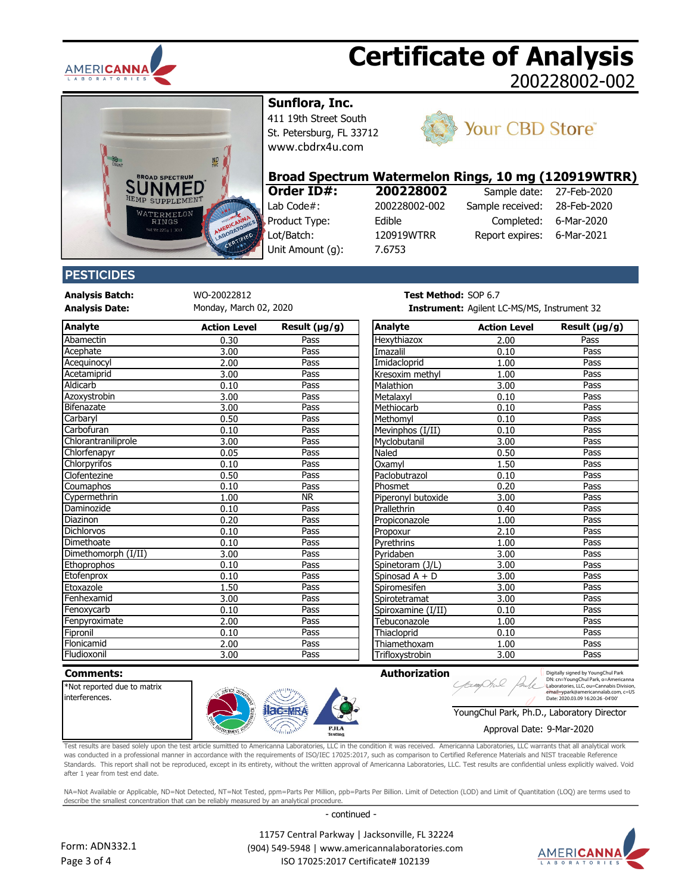



**Sunflora, Inc.**

411 19th Street South St. Petersburg, FL 33712 [www.cbdrx4u.com](http://www.cbdrx4u.com/)



## Your CBD Store®

## **Broad Spectrum Watermelon Rings, 10 mg (120919WTRR)**<br>**Order ID#:** 200228002 Sample date: 27-Feb-2020

Lab Code#: 200228002-002 Product Type: Edible Lot/Batch: 120919WTRR Unit Amount (g): 7.6753

# **Order ID#: 200228002**

| 1193, 10 1119 (14031311 1 |             |
|---------------------------|-------------|
| Sample date:              | 27-Feb-2020 |
| Sample received:          | 28-Feb-2020 |
| Completed:                | 6-Mar-2020  |
| Report expires:           | 6-Mar-2021  |
|                           |             |

### **PESTICIDES**

**Analysis Batch:** WO-20022812 **Test METHOD:** SOP 6.77 **TEST METHOD:** SOP 6.77 **TEST METHOD:** SOP 6.77 **TEST METHOD:** SOP 6.77 **TEST** Monday, March 02, 2020

| Analyte             | <b>Action Level</b> | Result $(\mu g/g)$ | Analyte                      | <b>Action Level</b> | Result $(\mu g/g)$ |
|---------------------|---------------------|--------------------|------------------------------|---------------------|--------------------|
| Abamectin           | 0.30                | Pass               | Hexythiazox                  | 2.00                | Pass               |
| Acephate            | 3.00                | Pass               | Imazalil                     | 0.10                | Pass               |
| Acequinocyl         | 2.00                | Pass               | Imidacloprid                 | 1.00                | Pass               |
| Acetamiprid         | 3.00                | Pass               | Kresoxim methyl              | 1.00                | Pass               |
| Aldicarb            | 0.10                | Pass               | Malathion                    | 3.00                | Pass               |
| Azoxystrobin        | 3.00                | Pass               | Metalaxyl                    | 0.10                | Pass               |
| Bifenazate          | 3.00                | Pass               | Methiocarb                   | 0.10                | Pass               |
| Carbaryl            | 0.50                | Pass               | Methomyl                     | 0.10                | Pass               |
| Carbofuran          | 0.10                | Pass               | Mevinphos (I/II)             | 0.10                | Pass               |
| Chlorantraniliprole | 3.00                | Pass               | Myclobutanil                 | 3.00                | Pass               |
| Chlorfenapyr        | 0.05                | Pass               | Naled                        | 0.50                | Pass               |
| Chlorpyrifos        | 0.10                | Pass               | Oxamvl                       | 1.50                | Pass               |
| Clofentezine        | 0.50                | Pass               | Paclobutrazol                | 0.10                | Pass               |
| Coumaphos           | 0.10                | Pass               | Phosmet                      | 0.20                | Pass               |
| Cypermethrin        | 1.00                | <b>NR</b>          | Piperonyl butoxide           | 3.00                | Pass               |
| Daminozide          | 0.10                | Pass               | Prallethrin                  | 0.40                | Pass               |
| Diazinon            | 0.20                | Pass               | Propiconazole                | 1.00                | Pass               |
| Dichlorvos          | 0.10                | Pass               | Propoxur                     | 2.10                | Pass               |
| Dimethoate          | 0.10                | Pass               | Pyrethrins                   | 1.00                | Pass               |
| Dimethomorph (I/II) | 3.00                | Pass               | Pvridaben                    | 3.00                | Pass               |
| Ethoprophos         | 0.10                | Pass               | Spinetoram (J/L)             | 3.00                | Pass               |
| Etofenprox          | 0.10                | Pass               | Spinosad A + D               | 3.00                | Pass               |
| Etoxazole           | 1.50                | Pass               | Spiromesifen                 | 3.00                | Pass               |
| Fenhexamid          | 3.00                | Pass               | Spirotetramat                | 3.00                | Pass               |
| Fenoxycarb          | 0.10                | Pass               | Spiroxamine (I/II)           | 0.10                | Pass               |
| Fenpyroximate       | 2.00                | Pass               | Tebuconazole                 | 1.00                | Pass               |
| Fipronil            | 0.10                | Pass               | Thiacloprid                  | 0.10                | Pass               |
| Flonicamid          | 2.00                | Pass               | Thiamethoxam                 | 1.00                | Pass               |
| انموريونات          | 200                 | $D - 2$            | The Classic continued in the | 200                 | $D - 2$            |

| <b>Fest Method: SOP 6.7</b> |  |   |  |  |
|-----------------------------|--|---|--|--|
|                             |  | . |  |  |

**Analysis Date: Instrument:** Agilent LC-MS/MS, Instrument 32

| Analyte             | <b>Action Level</b> | Result $(\mu g/g)$     | Analyte            | <b>Action Level</b> | Result $(\mu g/g)$ |
|---------------------|---------------------|------------------------|--------------------|---------------------|--------------------|
| Abamectin           | 0.30                | Pass                   | Hexythiazox        | 2.00                | Pass               |
| Acephate            | 3.00                | Pass                   | Imazalil           | 0.10                | Pass               |
| Aceguinocyl         | 2.00                | Pass                   | Imidacloprid       | 1.00                | Pass               |
| Acetamiprid         | 3.00                | Pass                   | Kresoxim methyl    | 1.00                | Pass               |
| Aldicarb            | 0.10                | Pass                   | Malathion          | 3.00                | Pass               |
| Azoxystrobin        | 3.00                | Pass                   | Metalaxyl          | 0.10                | Pass               |
| <b>Bifenazate</b>   | 3.00                | Pass                   | Methiocarb         | 0.10                | Pass               |
| Carbaryl            | 0.50                | Pass                   | Methomyl           | 0.10                | Pass               |
| Carbofuran          | 0.10                | Pass                   | Mevinphos (I/II)   | 0.10                | Pass               |
| Chlorantraniliprole | 3.00                | Pass                   | Myclobutanil       | 3.00                | Pass               |
| Chlorfenapyr        | 0.05                | Pass                   | Naled              | 0.50                | Pass               |
| Chlorpyrifos        | 0.10                | Pass                   | Oxamvl             | 1.50                | Pass               |
| Clofentezine        | 0.50                | Pass                   | Paclobutrazol      | 0.10                | Pass               |
| Coumaphos           | 0.10                | Pass                   | Phosmet            | 0.20                | Pass               |
| Cypermethrin        | 1.00                | $\overline{\text{NR}}$ | Piperonyl butoxide | 3.00                | Pass               |
| Daminozide          | 0.10                | Pass                   | Prallethrin        | 0.40                | Pass               |
| Diazinon            | 0.20                | Pass                   | Propiconazole      | 1.00                | Pass               |
| <b>Dichlorvos</b>   | 0.10                | Pass                   | Propoxur           | 2.10                | Pass               |
| Dimethoate          | 0.10                | Pass                   | Pyrethrins         | 1.00                | Pass               |
| Dimethomorph (I/II) | 3.00                | Pass                   | Pyridaben          | 3.00                | Pass               |
| Ethoprophos         | 0.10                | Pass                   | Spinetoram (J/L)   | 3.00                | Pass               |
| Etofenprox          | 0.10                | Pass                   | Spinosad A + D     | 3.00                | Pass               |
| Etoxazole           | 1.50                | Pass                   | Spiromesifen       | 3.00                | Pass               |
| Fenhexamid          | 3.00                | Pass                   | Spirotetramat      | 3.00                | Pass               |
| Fenoxycarb          | 0.10                | Pass                   | Spiroxamine (I/II) | 0.10                | Pass               |
| Fenpyroximate       | 2.00                | Pass                   | Tebuconazole       | 1.00                | Pass               |
| Fipronil            | 0.10                | Pass                   | Thiacloprid        | 0.10                | Pass               |
| Flonicamid          | 2.00                | Pass                   | Thiamethoxam       | 1.00                | Pass               |
| Fludioxonil         | 3.00                | Pass                   | Trifloxystrobin    | 3.00                | Pass               |

| Comments:                   |                               | <b>Authorization</b> | Digitally signed by YoungChul Park<br>DN: cn=YoungChul Park, o=Americanna       |
|-----------------------------|-------------------------------|----------------------|---------------------------------------------------------------------------------|
| *Not reported due to matrix |                               |                      | Laboratories, LLC, ou=Cannabis Division,<br>email=vpark@americannalab.com, c=US |
| linterferences.             |                               |                      | Date: 2020.03.09 16:20:26 -04'00'                                               |
|                             |                               |                      | YoungChul Park, Ph.D., Laboratory Director                                      |
|                             | <b>PJLA</b><br><b>Testing</b> |                      | Approval Date: 9-Mar-2020                                                       |

Test results are based solely upon the test article sumitted to Americanna Laboratories, LLC in the condition it was received. Americanna Laboratories, LLC warrants that all analytical work was conducted in a professional manner in accordance with the requirements of ISO/IEC 17025:2017, such as comparison to Certified Reference Materials and NIST traceable Reference Standards. This report shall not be reproduced, except in its entirety, without the written approval of Americanna Laboratories, LLC. Test results are confidential unless explicitly waived. Void after 1 year from test end date.

NA=Not Available or Applicable, ND=Not Detected, NT=Not Tested, ppm=Parts Per Million, ppb=Parts Per Billion. Limit of Detection (LOD) and Limit of Quantitation (LOQ) are terms used to describe the smallest concentration that can be reliably measured by an analytical procedure.

- continued -



 11757 Central Parkway | Jacksonville, FL 32224 (904) 549-5948 | www.americannalaboratories.com ISO 17025:2017 Certificate# 102139